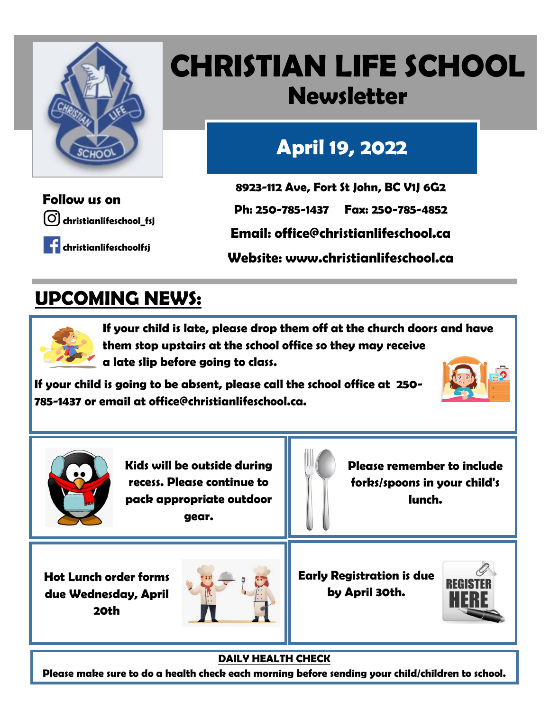

## **CHRISTIAN LIFE SCHOOL Newsletter**

## **April 19, 2022**

**christianlifeschool\_fsj Follow us on**

**christianlifeschoolfsj**

**8923-112 Ave, Fort St John, BC V1J 6G2**

**Ph: 250-785-1437 Fax: 250-785-4852**

**Email: office@christianlifeschool.ca**

**Website: www.christianlifeschool.ca**

### **UPCOMING NEWS:**



**If your child is late, please drop them off at the church doors and have them stop upstairs at the school office so they may receive a late slip before going to class.**

**If your child is going to be absent, please call the school office at 250- 785-1437 or email at office@christianlifeschool.ca.**





**Kids will be outside during recess. Please continue to pack appropriate outdoor gear.**

**Please remember to include forks/spoons in your child's lunch.** 

**Hot Lunch order forms due Wednesday, April 20th**



**Early Registration is due by April 30th.** 



**DAILY HEALTH CHECK**

**Please make sure to do a health check each morning before sending your child/children to school.**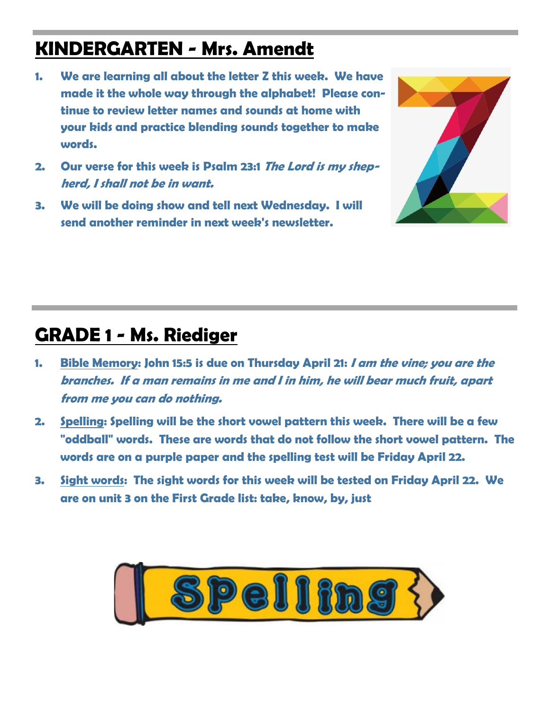#### **KINDERGARTEN - Mrs. Amendt**

- **1. We are learning all about the letter Z this week. We have made it the whole way through the alphabet! Please continue to review letter names and sounds at home with your kids and practice blending sounds together to make words.**
- **2. Our verse for this week is Psalm 23:1 The Lord is my shepherd, I shall not be in want.**
- **3. We will be doing show and tell next Wednesday. I will send another reminder in next week's newsletter.**



#### **GRADE 1 - Ms. Riediger**

- **1. Bible Memory: John 15:5 is due on Thursday April 21: I am the vine; you are the branches. If a man remains in me and I in him, he will bear much fruit, apart from me you can do nothing.**
- **2. Spelling: Spelling will be the short vowel pattern this week. There will be a few "oddball" words. These are words that do not follow the short vowel pattern. The words are on a purple paper and the spelling test will be Friday April 22.**
- **3. Sight words: The sight words for this week will be tested on Friday April 22. We are on unit 3 on the First Grade list: take, know, by, just**

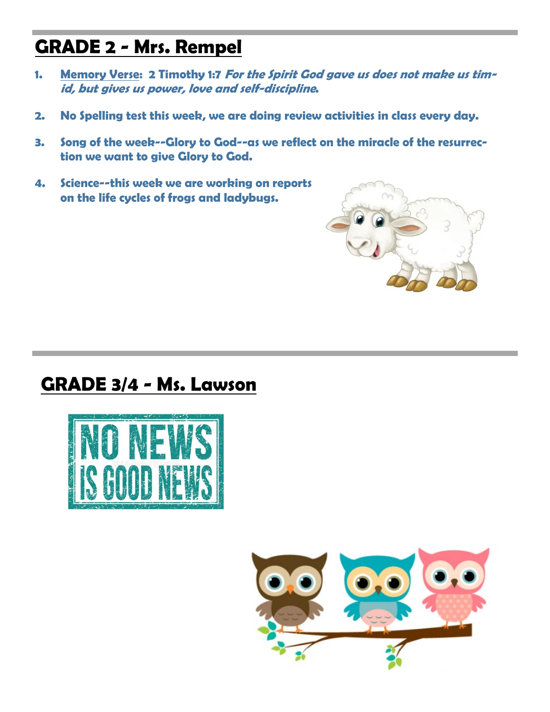#### **GRADE 2 - Mrs. Rempel**

- **1. Memory Verse: 2 Timothy 1:7 For the Spirit God gave us does not make us timid, but gives us power, love and self-discipline.**
- **2. No Spelling test this week, we are doing review activities in class every day.**
- **3. Song of the week--Glory to God--as we reflect on the miracle of the resurrection we want to give Glory to God.**
- **4. Science--this week we are working on reports on the life cycles of frogs and ladybugs.**



#### **GRADE 3/4 - Ms. Lawson**



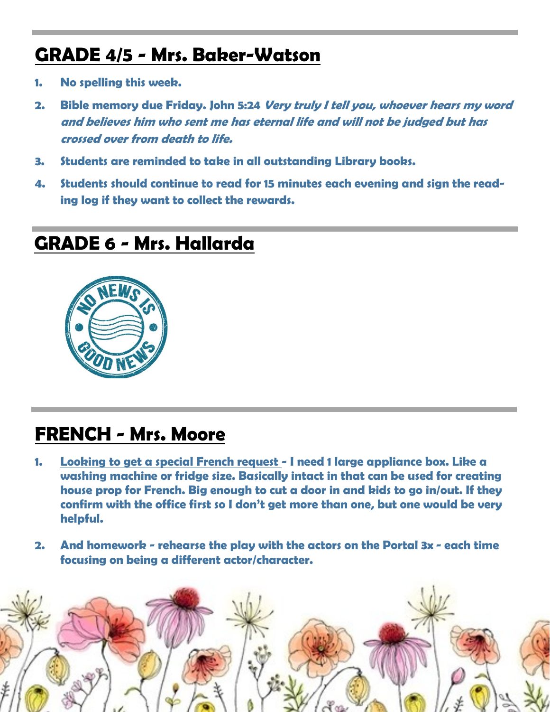#### **GRADE 4/5 - Mrs. Baker-Watson**

- **1. No spelling this week.**
- **2. Bible memory due Friday. John 5:24 Very truly I tell you, whoever hears my word and believes him who sent me has eternal life and will not be judged but has crossed over from death to life.**
- **3. Students are reminded to take in all outstanding Library books.**
- **4. Students should continue to read for 15 minutes each evening and sign the reading log if they want to collect the rewards.**

#### **GRADE 6 - Mrs. Hallarda**



#### **FRENCH - Mrs. Moore**

- **1. Looking to get a special French request - I need 1 large appliance box. Like a washing machine or fridge size. Basically intact in that can be used for creating house prop for French. Big enough to cut a door in and kids to go in/out. If they confirm with the office first so I don't get more than one, but one would be very helpful.**
- **2. And homework - rehearse the play with the actors on the Portal 3x - each time focusing on being a different actor/character.**